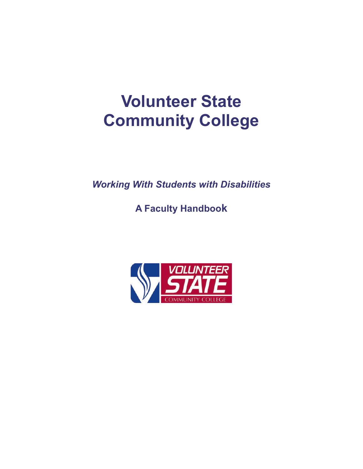# **Volunteer State Community College**

*Working With Students with Disabilities*

**A Faculty Handbook**

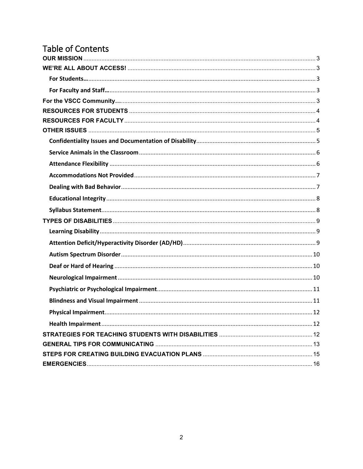# Table of Contents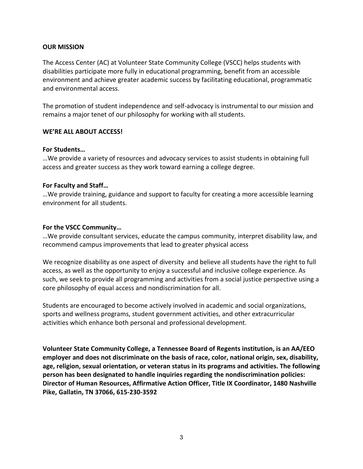#### <span id="page-2-0"></span>**OUR MISSION**

The Access Center (AC) at Volunteer State Community College (VSCC) helps students with disabilities participate more fully in educational programming, benefit from an accessible environment and achieve greater academic success by facilitating educational, programmatic and environmental access.

The promotion of student independence and self-advocacy is instrumental to our mission and remains a major tenet of our philosophy for working with all students.

#### <span id="page-2-1"></span>**WE'RE ALL ABOUT ACCESS!**

#### <span id="page-2-2"></span>**For Students…**

…We provide a variety of resources and advocacy services to assist students in obtaining full access and greater success as they work toward earning a college degree.

#### <span id="page-2-3"></span>**For Faculty and Staff…**

…We provide training, guidance and support to faculty for creating a more accessible learning environment for all students.

#### <span id="page-2-4"></span>**For the VSCC Community…**

…We provide consultant services, educate the campus community, interpret disability law, and recommend campus improvements that lead to greater physical access

We recognize disability as one aspect of diversity and believe all students have the right to full access, as well as the opportunity to enjoy a successful and inclusive college experience. As such, we seek to provide all programming and activities from a social justice perspective using a core philosophy of equal access and nondiscrimination for all.

Students are encouraged to become actively involved in academic and social organizations, sports and wellness programs, student government activities, and other extracurricular activities which enhance both personal and professional development.

**Volunteer State Community College, a [Tennessee Board of Regents](http://www.tbr.edu/) institution, is an AA/EEO employer and does not discriminate on the basis of race, color, national origin, sex, disability, age, religion, sexual orientation, or veteran status in its programs and activities. The following person has been designated to handle inquiries regarding the nondiscrimination policies: Director of Human Resources, Affirmative Action Officer, Title IX Coordinator, 1480 Nashville Pike, Gallatin, TN 37066, 615-230-3592**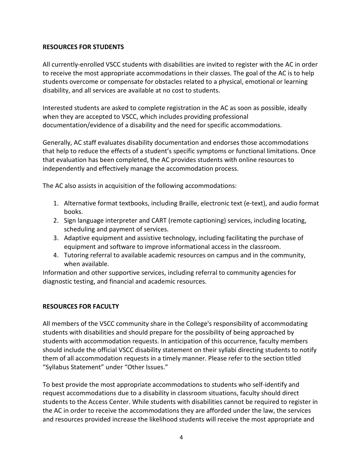#### <span id="page-3-0"></span>**RESOURCES FOR STUDENTS**

All currently-enrolled VSCC students with disabilities are invited to register with the AC in order to receive the most appropriate accommodations in their classes. The goal of the AC is to help students overcome or compensate for obstacles related to a physical, emotional or learning disability, and all services are available at no cost to students.

Interested students are asked to complete registration in the AC as soon as possible, ideally when they are accepted to VSCC, which includes providing professional documentation/evidence of a disability and the need for specific accommodations.

Generally, AC staff evaluates disability documentation and endorses those accommodations that help to reduce the effects of a student's specific symptoms or functional limitations. Once that evaluation has been completed, the AC provides students with online resources to independently and effectively manage the accommodation process.

The AC also assists in acquisition of the following accommodations:

- 1. Alternative format textbooks, including Braille, electronic text (e-text), and audio format books.
- 2. Sign language interpreter and CART (remote captioning) services, including locating, scheduling and payment of services.
- 3. Adaptive equipment and assistive technology, including facilitating the purchase of equipment and software to improve informational access in the classroom.
- 4. Tutoring referral to available academic resources on campus and in the community, when available.

Information and other supportive services, including referral to community agencies for diagnostic testing, and financial and academic resources.

#### <span id="page-3-1"></span>**RESOURCES FOR FACULTY**

All members of the VSCC community share in the College's responsibility of accommodating students with disabilities and should prepare for the possibility of being approached by students with accommodation requests. In anticipation of this occurrence, faculty members should include the official VSCC disability statement on their syllabi directing students to notify them of all accommodation requests in a timely manner. Please refer to the section titled "Syllabus Statement" under "Other Issues."

To best provide the most appropriate accommodations to students who self-identify and request accommodations due to a disability in classroom situations, faculty should direct students to the Access Center. While students with disabilities cannot be required to register in the AC in order to receive the accommodations they are afforded under the law, the services and resources provided increase the likelihood students will receive the most appropriate and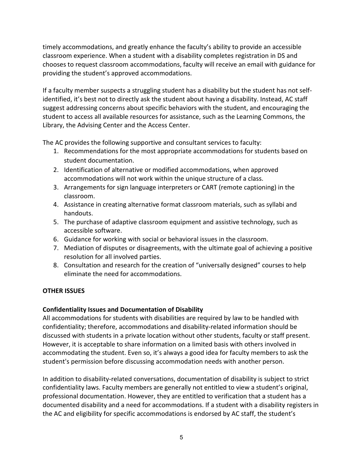timely accommodations, and greatly enhance the faculty's ability to provide an accessible classroom experience. When a student with a disability completes registration in DS and chooses to request classroom accommodations, faculty will receive an email with guidance for providing the student's approved accommodations.

If a faculty member suspects a struggling student has a disability but the student has not selfidentified, it's best not to directly ask the student about having a disability. Instead, AC staff suggest addressing concerns about specific behaviors with the student, and encouraging the student to access all available resources for assistance, such as the Learning Commons, the Library, the Advising Center and the Access Center.

The AC provides the following supportive and consultant services to faculty:

- 1. Recommendations for the most appropriate accommodations for students based on student documentation.
- 2. Identification of alternative or modified accommodations, when approved accommodations will not work within the unique structure of a class.
- 3. Arrangements for sign language interpreters or CART (remote captioning) in the classroom.
- 4. Assistance in creating alternative format classroom materials, such as syllabi and handouts.
- 5. The purchase of adaptive classroom equipment and assistive technology, such as accessible software.
- 6. Guidance for working with social or behavioral issues in the classroom.
- 7. Mediation of disputes or disagreements, with the ultimate goal of achieving a positive resolution for all involved parties.
- 8. Consultation and research for the creation of "universally designed" courses to help eliminate the need for accommodations.

# <span id="page-4-0"></span>**OTHER ISSUES**

# <span id="page-4-1"></span>**Confidentiality Issues and Documentation of Disability**

All accommodations for students with disabilities are required by law to be handled with confidentiality; therefore, accommodations and disability-related information should be discussed with students in a private location without other students, faculty or staff present. However, it is acceptable to share information on a limited basis with others involved in accommodating the student. Even so, it's always a good idea for faculty members to ask the student's permission before discussing accommodation needs with another person.

In addition to disability-related conversations, documentation of disability is subject to strict confidentiality laws. Faculty members are generally not entitled to view a student's original, professional documentation. However, they are entitled to verification that a student has a documented disability and a need for accommodations. If a student with a disability registers in the AC and eligibility for specific accommodations is endorsed by AC staff, the student's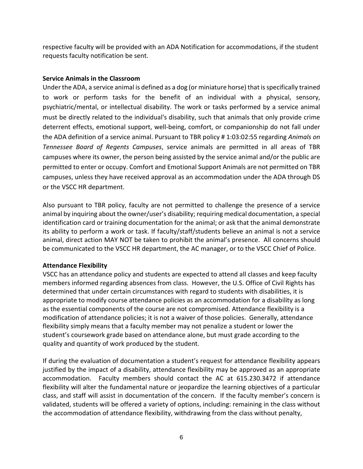respective faculty will be provided with an ADA Notification for accommodations, if the student requests faculty notification be sent.

#### <span id="page-5-0"></span>**Service Animals in the Classroom**

Under the ADA, a service animal is defined as a dog (or miniature horse) that is specifically trained to work or perform tasks for the benefit of an individual with a physical, sensory, psychiatric/mental, or intellectual disability. The work or tasks performed by a service animal must be directly related to the individual's disability, such that animals that only provide crime deterrent effects, emotional support, well-being, comfort, or companionship do not fall under the ADA definition of a service animal. Pursuant to TBR policy # 1:03:02:55 regarding *Animals on Tennessee Board of Regents Campuses*, service animals are permitted in all areas of TBR campuses where its owner, the person being assisted by the service animal and/or the public are permitted to enter or occupy. Comfort and Emotional Support Animals are not permitted on TBR campuses, unless they have received approval as an accommodation under the ADA through DS or the VSCC HR department.

Also pursuant to TBR policy, faculty are not permitted to challenge the presence of a service animal by inquiring about the owner/user's disability; requiring medical documentation, a special identification card or training documentation for the animal; or ask that the animal demonstrate its ability to perform a work or task. If faculty/staff/students believe an animal is not a service animal, direct action MAY NOT be taken to prohibit the animal's presence. All concerns should be communicated to the VSCC HR department, the AC manager, or to the VSCC Chief of Police.

# <span id="page-5-1"></span>**Attendance Flexibility**

VSCC has an attendance policy and students are expected to attend all classes and keep faculty members informed regarding absences from class. However, the U.S. Office of Civil Rights has determined that under certain circumstances with regard to students with disabilities, it is appropriate to modify course attendance policies as an accommodation for a disability as long as the essential components of the course are not compromised. Attendance flexibility is a modification of attendance policies; it is not a waiver of those policies. Generally, attendance flexibility simply means that a faculty member may not penalize a student or lower the student's coursework grade based on attendance alone, but must grade according to the quality and quantity of work produced by the student.

If during the evaluation of documentation a student's request for attendance flexibility appears justified by the impact of a disability, attendance flexibility may be approved as an appropriate accommodation. Faculty members should contact the AC at 615.230.3472 if attendance flexibility will alter the fundamental nature or jeopardize the learning objectives of a particular class, and staff will assist in documentation of the concern. If the faculty member's concern is validated, students will be offered a variety of options, including: remaining in the class without the accommodation of attendance flexibility, withdrawing from the class without penalty,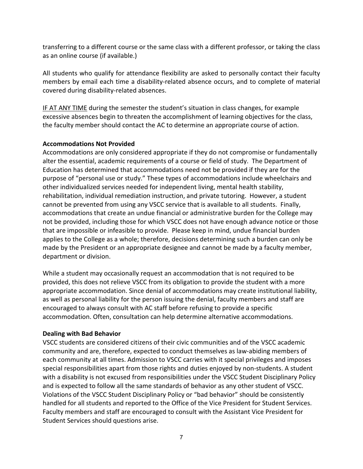transferring to a different course or the same class with a different professor, or taking the class as an online course (if available.)

All students who qualify for attendance flexibility are asked to personally contact their faculty members by email each time a disability-related absence occurs, and to complete of material covered during disability-related absences.

IF AT ANY TIME during the semester the student's situation in class changes, for example excessive absences begin to threaten the accomplishment of learning objectives for the class, the faculty member should contact the AC to determine an appropriate course of action.

# <span id="page-6-0"></span>**Accommodations Not Provided**

Accommodations are only considered appropriate if they do not compromise or fundamentally alter the essential, academic requirements of a course or field of study. The Department of Education has determined that accommodations need not be provided if they are for the purpose of "personal use or study." These types of accommodations include wheelchairs and other individualized services needed for independent living, mental health stability, rehabilitation, individual remediation instruction, and private tutoring. However, a student cannot be prevented from using any VSCC service that is available to all students. Finally, accommodations that create an undue financial or administrative burden for the College may not be provided, including those for which VSCC does not have enough advance notice or those that are impossible or infeasible to provide. Please keep in mind, undue financial burden applies to the College as a whole; therefore, decisions determining such a burden can only be made by the President or an appropriate designee and cannot be made by a faculty member, department or division.

While a student may occasionally request an accommodation that is not required to be provided, this does not relieve VSCC from its obligation to provide the student with a more appropriate accommodation. Since denial of accommodations may create institutional liability, as well as personal liability for the person issuing the denial, faculty members and staff are encouraged to always consult with AC staff before refusing to provide a specific accommodation. Often, consultation can help determine alternative accommodations.

# <span id="page-6-1"></span>**Dealing with Bad Behavior**

VSCC students are considered citizens of their civic communities and of the VSCC academic community and are, therefore, expected to conduct themselves as law-abiding members of each community at all times. Admission to VSCC carries with it special privileges and imposes special responsibilities apart from those rights and duties enjoyed by non-students. A student with a disability is not excused from responsibilities under the VSCC Student Disciplinary Policy and is expected to follow all the same standards of behavior as any other student of VSCC. Violations of the VSCC Student Disciplinary Policy or "bad behavior" should be consistently handled for all students and reported to the Office of the Vice President for Student Services. Faculty members and staff are encouraged to consult with the Assistant Vice President for Student Services should questions arise.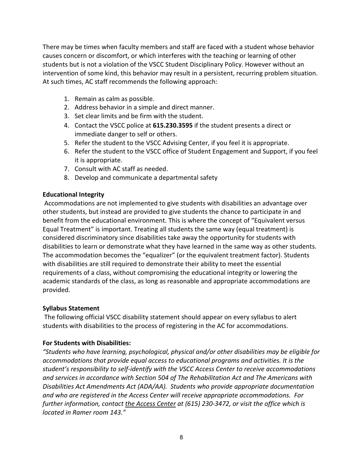There may be times when faculty members and staff are faced with a student whose behavior causes concern or discomfort, or which interferes with the teaching or learning of other students but is not a violation of the VSCC Student Disciplinary Policy. However without an intervention of some kind, this behavior may result in a persistent, recurring problem situation. At such times, AC staff recommends the following approach:

- 1. Remain as calm as possible.
- 2. Address behavior in a simple and direct manner.
- 3. Set clear limits and be firm with the student.
- 4. Contact the VSCC police at **615.230.3595** if the student presents a direct or immediate danger to self or others.
- 5. Refer the student to the VSCC Advising Center, if you feel it is appropriate.
- 6. Refer the student to the VSCC office of Student Engagement and Support, if you feel it is appropriate.
- 7. Consult with AC staff as needed.
- 8. Develop and communicate a departmental safety

# <span id="page-7-0"></span>**Educational Integrity**

Accommodations are not implemented to give students with disabilities an advantage over other students, but instead are provided to give students the chance to participate in and benefit from the educational environment. This is where the concept of "Equivalent versus Equal Treatment" is important. Treating all students the same way (equal treatment) is considered discriminatory since disabilities take away the opportunity for students with disabilities to learn or demonstrate what they have learned in the same way as other students. The accommodation becomes the "equalizer" (or the equivalent treatment factor). Students with disabilities are still required to demonstrate their ability to meet the essential requirements of a class, without compromising the educational integrity or lowering the academic standards of the class, as long as reasonable and appropriate accommodations are provided.

# <span id="page-7-1"></span>**Syllabus Statement**

The following official VSCC disability statement should appear on every syllabus to alert students with disabilities to the process of registering in the AC for accommodations.

# **For Students with Disabilities:**

*"Students who have learning, psychological, physical and/or other disabilities may be eligible for accommodations that provide equal access to educational programs and activities. It is the student's responsibility to self-identify with the VSCC Access Center to receive accommodations and services in accordance with Section 504 of The Rehabilitation Act and The Americans with Disabilities Act Amendments Act (ADA/AA). Students who provide appropriate documentation and who are registered in the Access Center will receive appropriate accommodations. For further information, contact the Access Center at (615) 230-3472, or visit the office which is located in Ramer room 143."*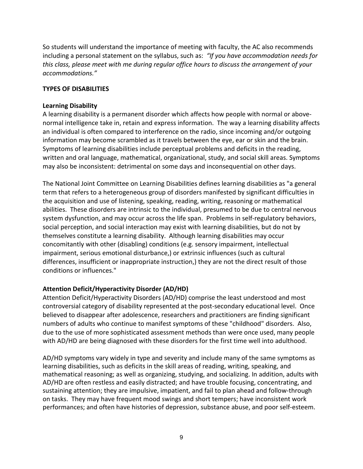So students will understand the importance of meeting with faculty, the AC also recommends including a personal statement on the syllabus, such as: *"If you have accommodation needs for this class, please meet with me during regular office hours to discuss the arrangement of your accommodations."*

#### <span id="page-8-0"></span>**TYPES OF DISABILITIES**

#### <span id="page-8-1"></span>**Learning Disability**

A learning disability is a permanent disorder which affects how people with normal or abovenormal intelligence take in, retain and express information. The way a learning disability affects an individual is often compared to interference on the radio, since incoming and/or outgoing information may become scrambled as it travels between the eye, ear or skin and the brain. Symptoms of learning disabilities include perceptual problems and deficits in the reading, written and oral language, mathematical, organizational, study, and social skill areas. Symptoms may also be inconsistent: detrimental on some days and inconsequential on other days.

The National Joint Committee on Learning Disabilities defines learning disabilities as "a general term that refers to a heterogeneous group of disorders manifested by significant difficulties in the acquisition and use of listening, speaking, reading, writing, reasoning or mathematical abilities. These disorders are intrinsic to the individual, presumed to be due to central nervous system dysfunction, and may occur across the life span. Problems in self-regulatory behaviors, social perception, and social interaction may exist with learning disabilities, but do not by themselves constitute a learning disability. Although learning disabilities may occur concomitantly with other (disabling) conditions (e.g. sensory impairment, intellectual impairment, serious emotional disturbance,) or extrinsic influences (such as cultural differences, insufficient or inappropriate instruction,) they are not the direct result of those conditions or influences."

#### <span id="page-8-2"></span>**Attention Deficit/Hyperactivity Disorder (AD/HD)**

Attention Deficit/Hyperactivity Disorders (AD/HD) comprise the least understood and most controversial category of disability represented at the post-secondary educational level. Once believed to disappear after adolescence, researchers and practitioners are finding significant numbers of adults who continue to manifest symptoms of these "childhood" disorders. Also, due to the use of more sophisticated assessment methods than were once used, many people with AD/HD are being diagnosed with these disorders for the first time well into adulthood.

AD/HD symptoms vary widely in type and severity and include many of the same symptoms as learning disabilities, such as deficits in the skill areas of reading, writing, speaking, and mathematical reasoning; as well as organizing, studying, and socializing. In addition, adults with AD/HD are often restless and easily distracted; and have trouble focusing, concentrating, and sustaining attention; they are impulsive, impatient, and fail to plan ahead and follow-through on tasks. They may have frequent mood swings and short tempers; have inconsistent work performances; and often have histories of depression, substance abuse, and poor self-esteem.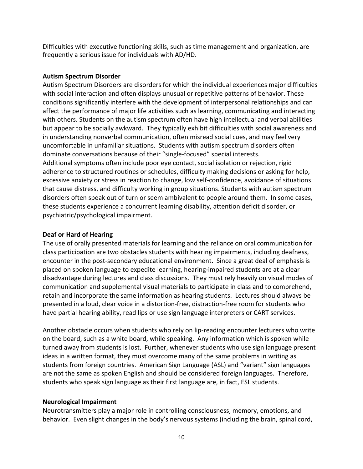Difficulties with executive functioning skills, such as time management and organization, are frequently a serious issue for individuals with AD/HD.

#### <span id="page-9-0"></span>**Autism Spectrum Disorder**

Autism Spectrum Disorders are disorders for which the individual experiences major difficulties with social interaction and often displays unusual or repetitive patterns of behavior. These conditions significantly interfere with the development of interpersonal relationships and can affect the performance of major life activities such as learning, communicating and interacting with others. Students on the autism spectrum often have high intellectual and verbal abilities but appear to be socially awkward. They typically exhibit difficulties with social awareness and in understanding nonverbal communication, often misread social cues, and may feel very uncomfortable in unfamiliar situations. Students with autism spectrum disorders often dominate conversations because of their "single-focused" special interests. Additional symptoms often include poor eye contact, social isolation or rejection, rigid adherence to structured routines or schedules, difficulty making decisions or asking for help, excessive anxiety or stress in reaction to change, low self-confidence, avoidance of situations that cause distress, and difficulty working in group situations. Students with autism spectrum disorders often speak out of turn or seem ambivalent to people around them. In some cases, these students experience a concurrent learning disability, attention deficit disorder, or psychiatric/psychological impairment.

#### <span id="page-9-1"></span>**Deaf or Hard of Hearing**

The use of orally presented materials for learning and the reliance on oral communication for class participation are two obstacles students with hearing impairments, including deafness, encounter in the post-secondary educational environment. Since a great deal of emphasis is placed on spoken language to expedite learning, hearing-impaired students are at a clear disadvantage during lectures and class discussions. They must rely heavily on visual modes of communication and supplemental visual materials to participate in class and to comprehend, retain and incorporate the same information as hearing students. Lectures should always be presented in a loud, clear voice in a distortion-free, distraction-free room for students who have partial hearing ability, read lips or use sign language interpreters or CART services.

Another obstacle occurs when students who rely on lip-reading encounter lecturers who write on the board, such as a white board, while speaking. Any information which is spoken while turned away from students is lost. Further, whenever students who use sign language present ideas in a written format, they must overcome many of the same problems in writing as students from foreign countries. American Sign Language (ASL) and "variant" sign languages are not the same as spoken English and should be considered foreign languages. Therefore, students who speak sign language as their first language are, in fact, ESL students.

#### <span id="page-9-2"></span>**Neurological Impairment**

Neurotransmitters play a major role in controlling consciousness, memory, emotions, and behavior. Even slight changes in the body's nervous systems (including the brain, spinal cord,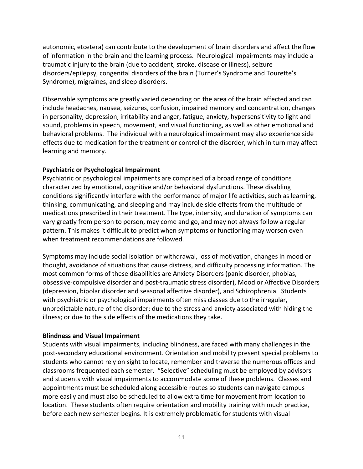autonomic, etcetera) can contribute to the development of brain disorders and affect the flow of information in the brain and the learning process. Neurological impairments may include a traumatic injury to the brain (due to accident, stroke, disease or illness), seizure disorders/epilepsy, congenital disorders of the brain (Turner's Syndrome and Tourette's Syndrome), migraines, and sleep disorders.

Observable symptoms are greatly varied depending on the area of the brain affected and can include headaches, nausea, seizures, confusion, impaired memory and concentration, changes in personality, depression, irritability and anger, fatigue, anxiety, hypersensitivity to light and sound, problems in speech, movement, and visual functioning, as well as other emotional and behavioral problems. The individual with a neurological impairment may also experience side effects due to medication for the treatment or control of the disorder, which in turn may affect learning and memory.

# <span id="page-10-0"></span>**Psychiatric or Psychological Impairment**

Psychiatric or psychological impairments are comprised of a broad range of conditions characterized by emotional, cognitive and/or behavioral dysfunctions. These disabling conditions significantly interfere with the performance of major life activities, such as learning, thinking, communicating, and sleeping and may include side effects from the multitude of medications prescribed in their treatment. The type, intensity, and duration of symptoms can vary greatly from person to person, may come and go, and may not always follow a regular pattern. This makes it difficult to predict when symptoms or functioning may worsen even when treatment recommendations are followed.

Symptoms may include social isolation or withdrawal, loss of motivation, changes in mood or thought, avoidance of situations that cause distress, and difficulty processing information. The most common forms of these disabilities are Anxiety Disorders (panic disorder, phobias, obsessive-compulsive disorder and post-traumatic stress disorder), Mood or Affective Disorders (depression, bipolar disorder and seasonal affective disorder), and Schizophrenia. Students with psychiatric or psychological impairments often miss classes due to the irregular, unpredictable nature of the disorder; due to the stress and anxiety associated with hiding the illness; or due to the side effects of the medications they take.

#### <span id="page-10-1"></span>**Blindness and Visual Impairment**

Students with visual impairments, including blindness, are faced with many challenges in the post-secondary educational environment. Orientation and mobility present special problems to students who cannot rely on sight to locate, remember and traverse the numerous offices and classrooms frequented each semester. "Selective" scheduling must be employed by advisors and students with visual impairments to accommodate some of these problems. Classes and appointments must be scheduled along accessible routes so students can navigate campus more easily and must also be scheduled to allow extra time for movement from location to location. These students often require orientation and mobility training with much practice, before each new semester begins. It is extremely problematic for students with visual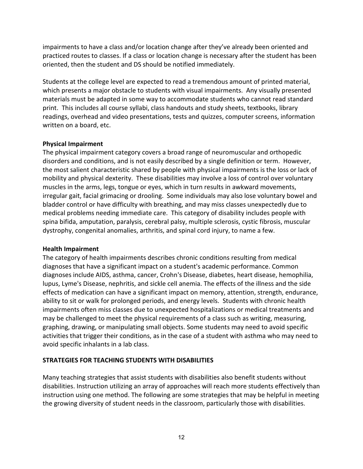impairments to have a class and/or location change after they've already been oriented and practiced routes to classes. If a class or location change is necessary after the student has been oriented, then the student and DS should be notified immediately.

Students at the college level are expected to read a tremendous amount of printed material, which presents a major obstacle to students with visual impairments. Any visually presented materials must be adapted in some way to accommodate students who cannot read standard print. This includes all course syllabi, class handouts and study sheets, textbooks, library readings, overhead and video presentations, tests and quizzes, computer screens, information written on a board, etc.

#### <span id="page-11-0"></span>**Physical Impairment**

The physical impairment category covers a broad range of neuromuscular and orthopedic disorders and conditions, and is not easily described by a single definition or term. However, the most salient characteristic shared by people with physical impairments is the loss or lack of mobility and physical dexterity. These disabilities may involve a loss of control over voluntary muscles in the arms, legs, tongue or eyes, which in turn results in awkward movements, irregular gait, facial grimacing or drooling. Some individuals may also lose voluntary bowel and bladder control or have difficulty with breathing, and may miss classes unexpectedly due to medical problems needing immediate care. This category of disability includes people with spina bifida, amputation, paralysis, cerebral palsy, multiple sclerosis, cystic fibrosis, muscular dystrophy, congenital anomalies, arthritis, and spinal cord injury, to name a few.

# <span id="page-11-1"></span>**Health Impairment**

The category of health impairments describes chronic conditions resulting from medical diagnoses that have a significant impact on a student's academic performance. Common diagnoses include AIDS, asthma, cancer, Crohn's Disease, diabetes, heart disease, hemophilia, lupus, Lyme's Disease, nephritis, and sickle cell anemia. The effects of the illness and the side effects of medication can have a significant impact on memory, attention, strength, endurance, ability to sit or walk for prolonged periods, and energy levels. Students with chronic health impairments often miss classes due to unexpected hospitalizations or medical treatments and may be challenged to meet the physical requirements of a class such as writing, measuring, graphing, drawing, or manipulating small objects. Some students may need to avoid specific activities that trigger their conditions, as in the case of a student with asthma who may need to avoid specific inhalants in a lab class.

# <span id="page-11-2"></span>**STRATEGIES FOR TEACHING STUDENTS WITH DISABILITIES**

Many teaching strategies that assist students with disabilities also benefit students without disabilities. Instruction utilizing an array of approaches will reach more students effectively than instruction using one method. The following are some strategies that may be helpful in meeting the growing diversity of student needs in the classroom, particularly those with disabilities.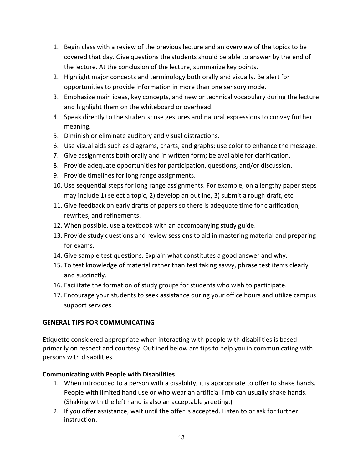- 1. Begin class with a review of the previous lecture and an overview of the topics to be covered that day. Give questions the students should be able to answer by the end of the lecture. At the conclusion of the lecture, summarize key points.
- 2. Highlight major concepts and terminology both orally and visually. Be alert for opportunities to provide information in more than one sensory mode.
- 3. Emphasize main ideas, key concepts, and new or technical vocabulary during the lecture and highlight them on the whiteboard or overhead.
- 4. Speak directly to the students; use gestures and natural expressions to convey further meaning.
- 5. Diminish or eliminate auditory and visual distractions.
- 6. Use visual aids such as diagrams, charts, and graphs; use color to enhance the message.
- 7. Give assignments both orally and in written form; be available for clarification.
- 8. Provide adequate opportunities for participation, questions, and/or discussion.
- 9. Provide timelines for long range assignments.
- 10. Use sequential steps for long range assignments. For example, on a lengthy paper steps may include 1) select a topic, 2) develop an outline, 3) submit a rough draft, etc.
- 11. Give feedback on early drafts of papers so there is adequate time for clarification, rewrites, and refinements.
- 12. When possible, use a textbook with an accompanying study guide.
- 13. Provide study questions and review sessions to aid in mastering material and preparing for exams.
- 14. Give sample test questions. Explain what constitutes a good answer and why.
- 15. To test knowledge of material rather than test taking savvy, phrase test items clearly and succinctly.
- 16. Facilitate the formation of study groups for students who wish to participate.
- 17. Encourage your students to seek assistance during your office hours and utilize campus support services.

# <span id="page-12-0"></span>**GENERAL TIPS FOR COMMUNICATING**

Etiquette considered appropriate when interacting with people with disabilities is based primarily on respect and courtesy. Outlined below are tips to help you in communicating with persons with disabilities.

# **Communicating with People with Disabilities**

- 1. When introduced to a person with a disability, it is appropriate to offer to shake hands. People with limited hand use or who wear an artificial limb can usually shake hands. (Shaking with the left hand is also an acceptable greeting.)
- 2. If you offer assistance, wait until the offer is accepted. Listen to or ask for further instruction.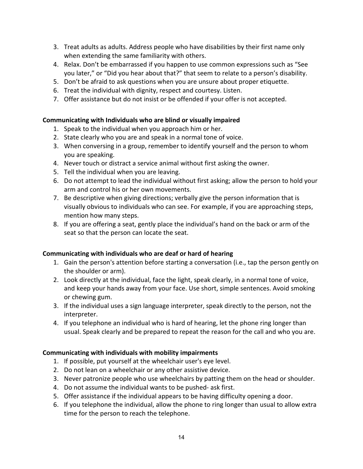- 3. Treat adults as adults. Address people who have disabilities by their first name only when extending the same familiarity with others.
- 4. Relax. Don't be embarrassed if you happen to use common expressions such as "See you later," or "Did you hear about that?" that seem to relate to a person's disability.
- 5. Don't be afraid to ask questions when you are unsure about proper etiquette.
- 6. Treat the individual with dignity, respect and courtesy. Listen.
- 7. Offer assistance but do not insist or be offended if your offer is not accepted.

# **Communicating with Individuals who are blind or visually impaired**

- 1. Speak to the individual when you approach him or her.
- 2. State clearly who you are and speak in a normal tone of voice.
- 3. When conversing in a group, remember to identify yourself and the person to whom you are speaking.
- 4. Never touch or distract a service animal without first asking the owner.
- 5. Tell the individual when you are leaving.
- 6. Do not attempt to lead the individual without first asking; allow the person to hold your arm and control his or her own movements.
- 7. Be descriptive when giving directions; verbally give the person information that is visually obvious to individuals who can see. For example, if you are approaching steps, mention how many steps.
- 8. If you are offering a seat, gently place the individual's hand on the back or arm of the seat so that the person can locate the seat.

# **Communicating with individuals who are deaf or hard of hearing**

- 1. Gain the person's attention before starting a conversation (i.e., tap the person gently on the shoulder or arm).
- 2. Look directly at the individual, face the light, speak clearly, in a normal tone of voice, and keep your hands away from your face. Use short, simple sentences. Avoid smoking or chewing gum.
- 3. If the individual uses a sign language interpreter, speak directly to the person, not the interpreter.
- 4. If you telephone an individual who is hard of hearing, let the phone ring longer than usual. Speak clearly and be prepared to repeat the reason for the call and who you are.

# **Communicating with individuals with mobility impairments**

- 1. If possible, put yourself at the wheelchair user's eye level.
- 2. Do not lean on a wheelchair or any other assistive device.
- 3. Never patronize people who use wheelchairs by patting them on the head or shoulder.
- 4. Do not assume the individual wants to be pushed- ask first.
- 5. Offer assistance if the individual appears to be having difficulty opening a door.
- 6. If you telephone the individual, allow the phone to ring longer than usual to allow extra time for the person to reach the telephone.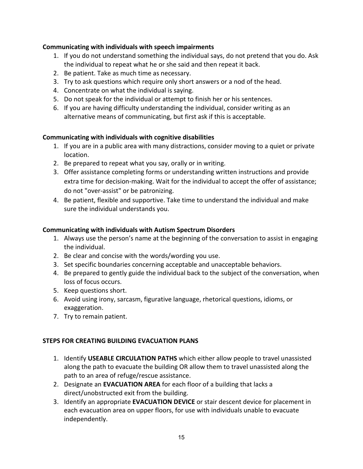# **Communicating with individuals with speech impairments**

- 1. If you do not understand something the individual says, do not pretend that you do. Ask the individual to repeat what he or she said and then repeat it back.
- 2. Be patient. Take as much time as necessary.
- 3. Try to ask questions which require only short answers or a nod of the head.
- 4. Concentrate on what the individual is saying.
- 5. Do not speak for the individual or attempt to finish her or his sentences.
- 6. If you are having difficulty understanding the individual, consider writing as an alternative means of communicating, but first ask if this is acceptable.

# **Communicating with individuals with cognitive disabilities**

- 1. If you are in a public area with many distractions, consider moving to a quiet or private location.
- 2. Be prepared to repeat what you say, orally or in writing.
- 3. Offer assistance completing forms or understanding written instructions and provide extra time for decision-making. Wait for the individual to accept the offer of assistance; do not "over-assist" or be patronizing.
- 4. Be patient, flexible and supportive. Take time to understand the individual and make sure the individual understands you.

# **Communicating with individuals with Autism Spectrum Disorders**

- 1. Always use the person's name at the beginning of the conversation to assist in engaging the individual.
- 2. Be clear and concise with the words/wording you use.
- 3. Set specific boundaries concerning acceptable and unacceptable behaviors.
- 4. Be prepared to gently guide the individual back to the subject of the conversation, when loss of focus occurs.
- 5. Keep questions short.
- 6. Avoid using irony, sarcasm, figurative language, rhetorical questions, idioms, or exaggeration.
- 7. Try to remain patient.

# <span id="page-14-0"></span>**STEPS FOR CREATING BUILDING EVACUATION PLANS**

- 1. Identify **USEABLE CIRCULATION PATHS** which either allow people to travel unassisted along the path to evacuate the building OR allow them to travel unassisted along the path to an area of refuge/rescue assistance.
- 2. Designate an **EVACUATION AREA** for each floor of a building that lacks a direct/unobstructed exit from the building.
- 3. Identify an appropriate **EVACUATION DEVICE** or stair descent device for placement in each evacuation area on upper floors, for use with individuals unable to evacuate independently.